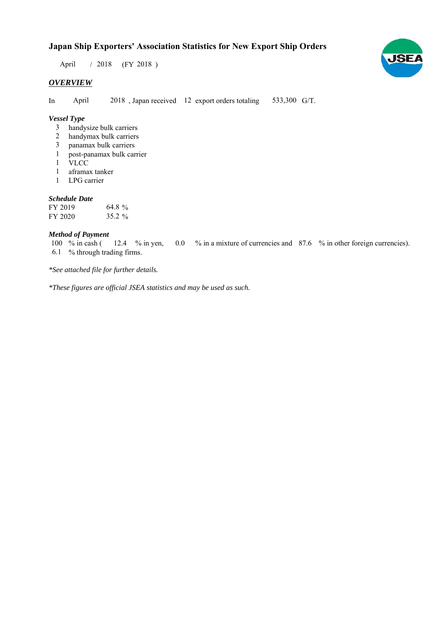# **Japan Ship Exporters' Association Statistics for New Export Ship Orders**

 $/ 2018$  (FY 2018) April

## *OVERVIEW*

In April 2018, Japan received 12 export orders totaling 533,300 G/T. April

## *Vessel Type*

- handysize bulk carriers 3
- handymax bulk carriers 2
- panamax bulk carriers 3
- post-panamax bulk carrier 1
- VLCC 1
- aframax tanker 1
- LPG carrier 1

#### *Schedule Date*

| FY 2019 | 64.8 $\%$ |
|---------|-----------|
| FY 2020 | $35.2 \%$ |

#### *Method of Payment*

% in cash ( $\frac{12.4}{8}$  m yen, 0.0 % in a mixture of currencies and 87.6 % in other foreign currencies). % through trading firms. 6.1 12.4 % in yen, 100  $%$  in cash (

*\*See attached file for further details.*

*\*These figures are official JSEA statistics and may be used as such.*

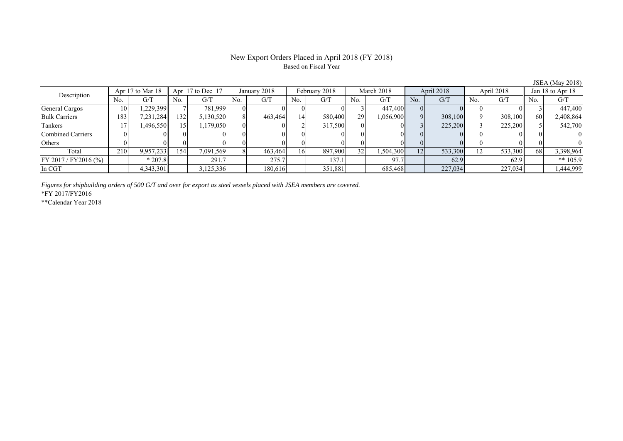#### New Export Orders Placed in April 2018 (FY 2018) Based on Fiscal Year

No. G/T No. G/T No. G/T No. G/T No. G/T No. G/T No. G/T No. G/T General Cargos ( 10 1,229,399 7 781,999 0 0 0 0 0 3 447,400 0 0 0 0 0 3 447,400 Bulk Carriers 183 7,231,284 132 5,130,520 8 463,464 14 580,400 29 1,056,900 9 308,100 9 308,100 60 2,408,864 Tankers | 17| 1,496,550|| 15| 1,179,050| 0| 0| 2| 317,500| 0| 3| 225,200| 3| 225,200|| 5| 542,700 Combined Carriers 0 0 0 0 0 0 0 0 0 0 0 0 0 0 0 0 Others | 0 | 0 || 0 || 0 || 0 || 0 || 0 || 0 || 0 || 0 || 0 | Total 210 9,957,233 154 7,091,569 8 463,464 16 897,900 32 1,504,300 12 533,300 12 533,300 68 3,398,964 FY 2017/FY2016 (%) \* 207.8 291.7 275.7 137.1 97.7 62.9 62.9 \*\* 105.9 In CGT | | 4,343,301|| | 3,125,336| | 180,616| | 351,881| | 685,468| | 227,034| | 227,034| | 1,444,999 Apr 17 to Mar 18 Apr 17 to Dec 17 January 2018 February 2018 March 2018 April 2018 April 2018 Jan 18 to Apr 18 Description

*Figures for shipbuilding orders of 500 G/T and over for export as steel vessels placed with JSEA members are covered.*

\*FY 2017/FY2016

\*\*Calendar Year 2018

JSEA (May 2018)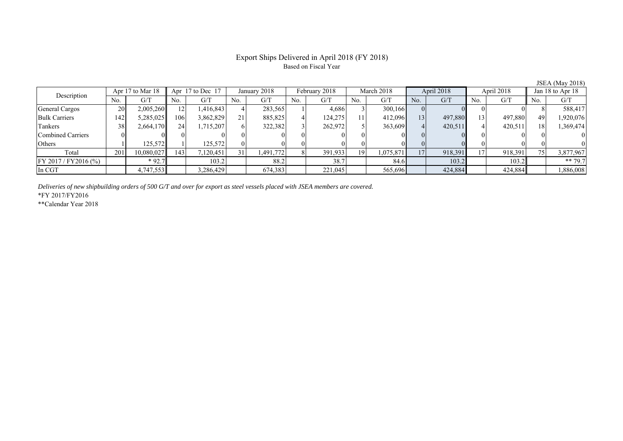## Export Ships Delivered in April 2018 (FY 2018) Based on Fiscal Year

| Apr 17 to Mar 18<br>Description |     | Apr $17$ to Dec $17$ |     | January 2018 |     | February 2018 |     | March 2018 |     | April 2018 |     | April 2018 |     | Jan 18 to Apr $18$ |     |           |
|---------------------------------|-----|----------------------|-----|--------------|-----|---------------|-----|------------|-----|------------|-----|------------|-----|--------------------|-----|-----------|
|                                 | No. | G/T                  | No. | G/T          | No. | G/T           | No. | G/T        | No. | G/T        | No. | G/T        | No. | G/T                | No. | G/T       |
| General Cargos                  | 20  | 2,005,260            |     | 1,416,843    |     | 283,565       |     | 4,686      |     | 300,166    |     |            |     |                    |     | 588,417   |
| <b>Bulk Carriers</b>            | 142 | 5,285,025            | 106 | 3,862,829    | 21  | 885,825       |     | 124,275    | 11  | 412,096    | 13  | 497,880    | 13  | 497,880            | 49  | 1,920,076 |
| Tankers                         | 38  | 2,664,170            | 24  | 1,715,207    |     | 322,382       |     | 262,972    |     | 363,609    |     | 420,511    |     | 420,511            |     | 1,369,474 |
| Combined Carriers               |     |                      |     |              |     |               |     |            |     |            |     |            |     |                    |     |           |
| Others                          |     | 125.572              |     | 125,572      |     |               |     |            |     |            |     |            |     |                    |     |           |
| Total                           | 201 | 10,080,027           | 143 | ,120,451     | 31  | 1,491,772     |     | 391,933    | 19  | 1,075,871  | 17  | 918,391    | 17  | 918,391            | 75. | 3,877,967 |
| $FY 2017 / FY 2016$ (%)         |     | $*92.7$              |     | 103.2        |     | 88.2          |     | 38.7       |     | 84.6       |     | 103.2      |     | 103.2              |     | ** 79.7   |
| In CGT                          |     | 4,747,553            |     | ,286,429     |     | 674,383       |     | 221,045    |     | 565,696    |     | 424,884    |     | 424,884            |     | 1,886,008 |

*Deliveries of new shipbuilding orders of 500 G/T and over for export as steel vessels placed with JSEA members are covered.*

\*FY 2017/FY2016

\*\*Calendar Year 2018

JSEA (May 2018)